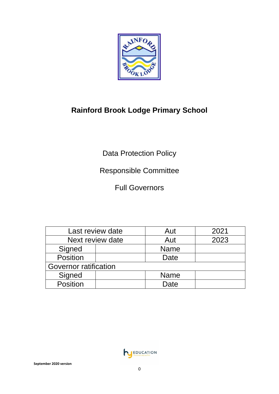

# **Rainford Brook Lodge Primary School**

Data Protection Policy

# Responsible Committee

Full Governors

| Last review date             |  | Aut         | 2021 |
|------------------------------|--|-------------|------|
| Next review date             |  | Aut         | 2023 |
| Signed                       |  | <b>Name</b> |      |
| Position                     |  | Date        |      |
| <b>Governor ratification</b> |  |             |      |
| Signed                       |  | <b>Name</b> |      |
| Position                     |  | Date        |      |

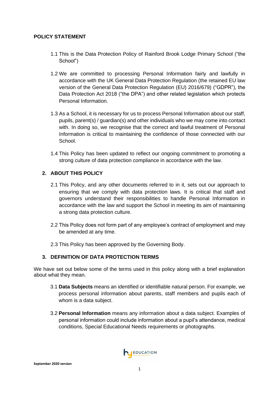## **POLICY STATEMENT**

- 1.1 This is the Data Protection Policy of Rainford Brook Lodge Primary School ("the School")
- 1.2 We are committed to processing Personal Information fairly and lawfully in accordance with the UK General Data Protection Regulation (the retained EU law version of the General Data Protection Regulation (EU) 2016/679) ("GDPR"), the Data Protection Act 2018 ("the DPA") and other related legislation which protects Personal Information.
- 1.3 As a School, it is necessary for us to process Personal Information about our staff, pupils, parent(s) / guardian(s) and other individuals who we may come into contact with. In doing so, we recognise that the correct and lawful treatment of Personal Information is critical to maintaining the confidence of those connected with our School.
- 1.4 This Policy has been updated to reflect our ongoing commitment to promoting a strong culture of data protection compliance in accordance with the law.

# **2. ABOUT THIS POLICY**

- 2.1 This Policy, and any other documents referred to in it, sets out our approach to ensuring that we comply with data protection laws. It is critical that staff and governors understand their responsibilities to handle Personal Information in accordance with the law and support the School in meeting its aim of maintaining a strong data protection culture.
- 2.2 This Policy does not form part of any employee's contract of employment and may be amended at any time.
- 2.3 This Policy has been approved by the Governing Body.

# **3. DEFINITION OF DATA PROTECTION TERMS**

We have set out below some of the terms used in this policy along with a brief explanation about what they mean.

- 3.1 **Data Subjects** means an identified or identifiable natural person. For example, we process personal information about parents, staff members and pupils each of whom is a data subject.
- 3.2 **Personal Information** means any information about a data subject. Examples of personal information could include information about a pupil's attendance, medical conditions, Special Educational Needs requirements or photographs.

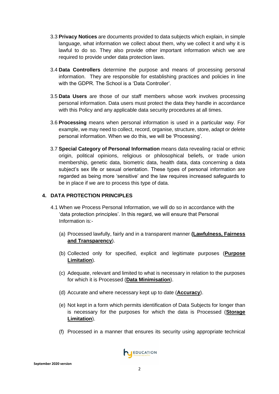- 3.3 **Privacy Notices** are documents provided to data subjects which explain, in simple language, what information we collect about them, why we collect it and why it is lawful to do so. They also provide other important information which we are required to provide under data protection laws.
- 3.4 **Data Controllers** determine the purpose and means of processing personal information. They are responsible for establishing practices and policies in line with the GDPR. The School is a 'Data Controller'.
- 3.5 **Data Users** are those of our staff members whose work involves processing personal information. Data users must protect the data they handle in accordance with this Policy and any applicable data security procedures at all times.
- 3.6 **Processing** means when personal information is used in a particular way. For example, we may need to collect, record, organise, structure, store, adapt or delete personal information. When we do this, we will be 'Processing'.
- 3.7 **Special Category of Personal Information** means data revealing racial or ethnic origin, political opinions, religious or philosophical beliefs, or trade union membership, genetic data, biometric data, health data, data concerning a data subject's sex life or sexual orientation. These types of personal information are regarded as being more 'sensitive' and the law requires increased safeguards to be in place if we are to process this type of data.

## **4. DATA PROTECTION PRINCIPLES**

- 4.1 When we Process Personal Information, we will do so in accordance with the 'data protection principles'. In this regard, we will ensure that Personal Information is:-
	- (a) Processed lawfully, fairly and in a transparent manner **(Lawfulness, Fairness and Transparency**).
	- (b) Collected only for specified, explicit and legitimate purposes (**Purpose Limitation**).
	- (c) Adequate, relevant and limited to what is necessary in relation to the purposes for which it is Processed (**Data Minimisation**).
	- (d) Accurate and where necessary kept up to date (**Accuracy**).
	- (e) Not kept in a form which permits identification of Data Subjects for longer than is necessary for the purposes for which the data is Processed (**Storage Limitation**).
	- (f) Processed in a manner that ensures its security using appropriate technical

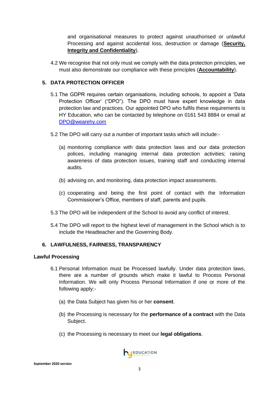and organisational measures to protect against unauthorised or unlawful Processing and against accidental loss, destruction or damage (**Security, Integrity and Confidentiality**).

4.2 We recognise that not only must we comply with the data protection principles, we must also demonstrate our compliance with these principles (**Accountability**).

# **5. DATA PROTECTION OFFICER**

- 5.1 The GDPR requires certain organisations, including schools, to appoint a 'Data Protection Officer' ("DPO"). The DPO must have expert knowledge in data protection law and practices. Our appointed DPO who fulfils these requirements is HY Education, who can be contacted by telephone on 0161 543 8884 or email at [DPO@wearehy.com](mailto:DPO@wearehy.com)
- 5.2 The DPO will carry out a number of important tasks which will include:-
	- (a) monitoring compliance with data protection laws and our data protection polices, including managing internal data protection activities; raising awareness of data protection issues, training staff and conducting internal audits.
	- (b) advising on, and monitoring, data protection impact assessments.
	- (c) cooperating and being the first point of contact with the Information Commissioner's Office, members of staff, parents and pupils.
- 5.3 The DPO will be independent of the School to avoid any conflict of interest.
- 5.4 The DPO will report to the highest level of management in the School which is to include the Headteacher and the Governing Body.

# **6. LAWFULNESS, FAIRNESS, TRANSPARENCY**

#### **Lawful Processing**

- 6.1 Personal Information must be Processed lawfully. Under data protection laws, there are a number of grounds which make it lawful to Process Personal Information. We will only Process Personal Information if one or more of the following apply:-
	- (a) the Data Subject has given his or her **consent**.
	- (b) the Processing is necessary for the **performance of a contract** with the Data Subject.
	- (c) the Processing is necessary to meet our **legal obligations**.

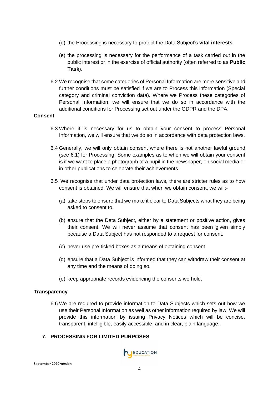- (d) the Processing is necessary to protect the Data Subject's **vital interests**.
- (e) the processing is necessary for the performance of a task carried out in the public interest or in the exercise of official authority (often referred to as **Public Task**).
- 6.2 We recognise that some categories of Personal Information are more sensitive and further conditions must be satisfied if we are to Process this information (Special category and criminal conviction data). Where we Process these categories of Personal Information, we will ensure that we do so in accordance with the additional conditions for Processing set out under the GDPR and the DPA.

#### **Consent**

- 6.3 Where it is necessary for us to obtain your consent to process Personal Information, we will ensure that we do so in accordance with data protection laws.
- 6.4 Generally, we will only obtain consent where there is not another lawful ground (see 6.1) for Processing. Some examples as to when we will obtain your consent is if we want to place a photograph of a pupil in the newspaper, on social media or in other publications to celebrate their achievements.
- 6.5 We recognise that under data protection laws, there are stricter rules as to how consent is obtained. We will ensure that when we obtain consent, we will:-
	- (a) take steps to ensure that we make it clear to Data Subjects what they are being asked to consent to.
	- (b) ensure that the Data Subject, either by a statement or positive action, gives their consent. We will never assume that consent has been given simply because a Data Subject has not responded to a request for consent.
	- (c) never use pre-ticked boxes as a means of obtaining consent.
	- (d) ensure that a Data Subject is informed that they can withdraw their consent at any time and the means of doing so.
	- (e) keep appropriate records evidencing the consents we hold.

# **Transparency**

6.6 We are required to provide information to Data Subjects which sets out how we use their Personal Information as well as other information required by law. We will provide this information by issuing Privacy Notices which will be concise, transparent, intelligible, easily accessible, and in clear, plain language.

# **7. PROCESSING FOR LIMITED PURPOSES**

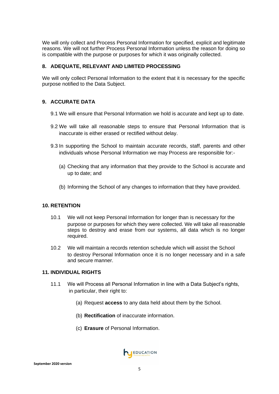We will only collect and Process Personal Information for specified, explicit and legitimate reasons. We will not further Process Personal Information unless the reason for doing so is compatible with the purpose or purposes for which it was originally collected.

## **8. ADEQUATE, RELEVANT AND LIMITED PROCESSING**

We will only collect Personal Information to the extent that it is necessary for the specific purpose notified to the Data Subject.

# **9. ACCURATE DATA**

- 9.1 We will ensure that Personal Information we hold is accurate and kept up to date.
- 9.2 We will take all reasonable steps to ensure that Personal Information that is inaccurate is either erased or rectified without delay.
- 9.3 In supporting the School to maintain accurate records, staff, parents and other individuals whose Personal Information we may Process are responsible for:-
	- (a) Checking that any information that they provide to the School is accurate and up to date; and
	- (b) Informing the School of any changes to information that they have provided.

#### **10. RETENTION**

- 10.1 We will not keep Personal Information for longer than is necessary for the purpose or purposes for which they were collected. We will take all reasonable steps to destroy and erase from our systems, all data which is no longer required.
- 10.2 We will maintain a records retention schedule which will assist the School to destroy Personal Information once it is no longer necessary and in a safe and secure manner.

#### **11. INDIVIDUAL RIGHTS**

- 11.1 We will Process all Personal Information in line with a Data Subject's rights, in particular, their right to:
	- (a) Request **access** to any data held about them by the School.
	- (b) **Rectification** of inaccurate information.
	- (c) **Erasure** of Personal Information.

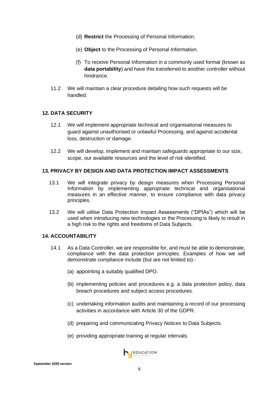- (d) **Restrict** the Processing of Personal Information.
- (e) **Object** to the Processing of Personal Information.
- (f) To receive Personal Information in a commonly used format (known as **data portability**) and have this transferred to another controller without hindrance.
- 11.2 We will maintain a clear procedure detailing how such requests will be handled.

#### **12. DATA SECURITY**

- 12.1 We will implement appropriate technical and organisational measures to guard against unauthorised or unlawful Processing, and against accidental loss, destruction or damage.
- 12.2 We will develop, implement and maintain safeguards appropriate to our size, scope, our available resources and the level of risk identified.

#### **13. PRIVACY BY DESIGN AND DATA PROTECTION IMPACT ASSESSMENTS**

- 13.1 We will integrate privacy by design measures when Processing Personal Information by implementing appropriate technical and organisational measures in an effective manner, to ensure compliance with data privacy principles.
- 13.2 We will utilise Data Protection Impact Assessments ("DPIAs") which will be used when introducing new technologies or the Processing is likely to result in a high risk to the rights and freedoms of Data Subjects.

#### **14. ACCOUNTABILITY**

- 14.1 As a Data Controller, we are responsible for, and must be able to demonstrate, compliance with the data protection principles. Examples of how we will demonstrate compliance include (but are not limited to):-
	- (a) appointing a suitably qualified DPO.
	- (b) implementing policies and procedures e.g. a data protection policy, data breach procedures and subject access procedures.
	- (c) undertaking information audits and maintaining a record of our processing activities in accordance with Article 30 of the GDPR.
	- (d) preparing and communicating Privacy Notices to Data Subjects.
	- (e) providing appropriate training at regular intervals.